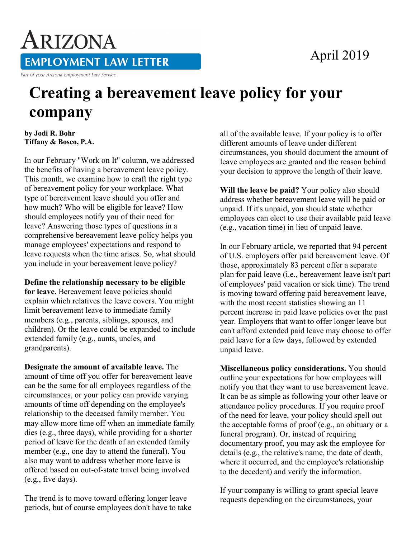## April 2019

ARIZONA **EMPLOYMENT LAW LETTER** Part of your Arizona Employment Law Service

## **Creating a bereavement leave policy for your company**

**by Jodi R. Bohr Tiffany & Bosco, P.A.** 

In our February "Work on It" column, we addressed the benefits of having a bereavement leave policy. This month, we examine how to craft the right type of bereavement policy for your workplace. What type of bereavement leave should you offer and how much? Who will be eligible for leave? How should employees notify you of their need for leave? Answering those types of questions in a comprehensive bereavement leave policy helps you manage employees' expectations and respond to leave requests when the time arises. So, what should you include in your bereavement leave policy?

**Define the relationship necessary to be eligible for leave.** Bereavement leave policies should explain which relatives the leave covers. You might limit bereavement leave to immediate family members (e.g., parents, siblings, spouses, and children). Or the leave could be expanded to include extended family (e.g., aunts, uncles, and grandparents).

**Designate the amount of available leave.** The amount of time off you offer for bereavement leave can be the same for all employees regardless of the circumstances, or your policy can provide varying amounts of time off depending on the employee's relationship to the deceased family member. You may allow more time off when an immediate family dies (e.g., three days), while providing for a shorter period of leave for the death of an extended family member (e.g., one day to attend the funeral). You also may want to address whether more leave is offered based on out-of-state travel being involved (e.g., five days).

The trend is to move toward offering longer leave periods, but of course employees don't have to take all of the available leave. If your policy is to offer different amounts of leave under different circumstances, you should document the amount of leave employees are granted and the reason behind your decision to approve the length of their leave.

**Will the leave be paid?** Your policy also should address whether bereavement leave will be paid or unpaid. If it's unpaid, you should state whether employees can elect to use their available paid leave (e.g., vacation time) in lieu of unpaid leave.

In our February article, we reported that 94 percent of U.S. employers offer paid bereavement leave. Of those, approximately 83 percent offer a separate plan for paid leave (i.e., bereavement leave isn't part of employees' paid vacation or sick time). The trend is moving toward offering paid bereavement leave, with the most recent statistics showing an 11 percent increase in paid leave policies over the past year. Employers that want to offer longer leave but can't afford extended paid leave may choose to offer paid leave for a few days, followed by extended unpaid leave.

**Miscellaneous policy considerations.** You should outline your expectations for how employees will notify you that they want to use bereavement leave. It can be as simple as following your other leave or attendance policy procedures. If you require proof of the need for leave, your policy should spell out the acceptable forms of proof (e.g., an obituary or a funeral program). Or, instead of requiring documentary proof, you may ask the employee for details (e.g., the relative's name, the date of death, where it occurred, and the employee's relationship to the decedent) and verify the information.

If your company is willing to grant special leave requests depending on the circumstances, your